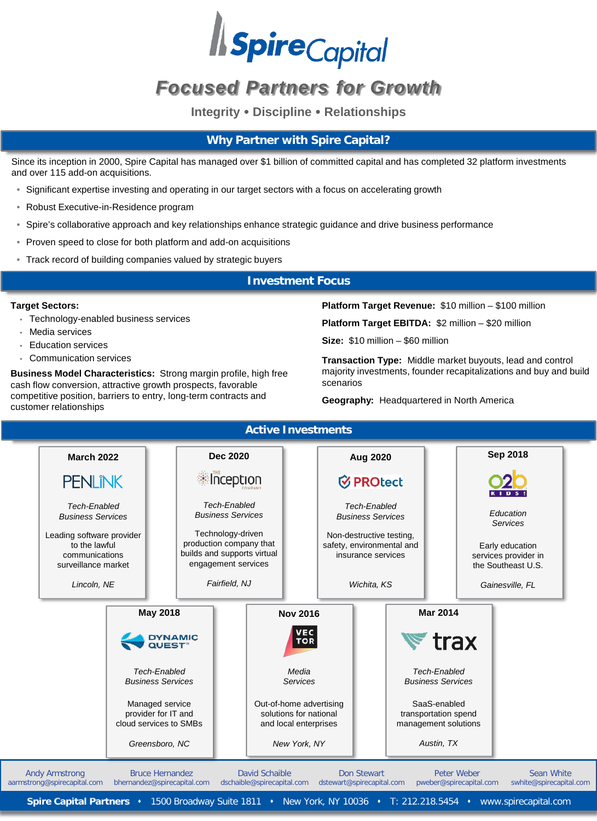

# *Focused Partners for Growth*

**Integrity Discipline Relationships**

# **Why Partner with Spire Capital?**

Since its inception in 2000, Spire Capital has managed over \$1 billion of committed capital and has completed 32 platform investments and over 115 add-on acquisitions.

- Significant expertise investing and operating in our target sectors with a focus on accelerating growth
- Robust Executive-in-Residence program
- Spire's collaborative approach and key relationships enhance strategic guidance and drive business performance
- Proven speed to close for both platform and add-on acquisitions
- Track record of building companies valued by strategic buyers

### **Investment Focus**

#### **Target Sectors:**

- Technology-enabled business services
- Media services
- Education services
- Communication services

**Business Model Characteristics:** Strong margin profile, high free cash flow conversion, attractive growth prospects, favorable competitive position, barriers to entry, long-term contracts and customer relationships

**Platform Target Revenue:** \$10 million – \$100 million

**Platform Target EBITDA:** \$2 million – \$20 million

**Size:** \$10 million – \$60 million

**Transaction Type:** Middle market buyouts, lead and control majority investments, founder recapitalizations and buy and build scenarios

**Geography:** Headquartered in North America